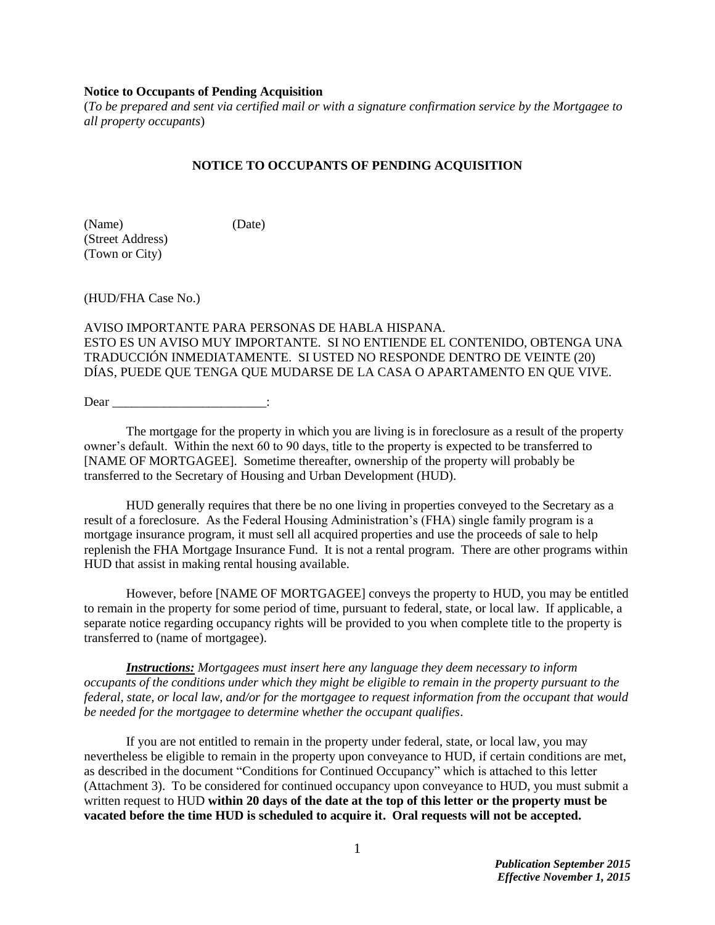#### **Notice to Occupants of Pending Acquisition**

(*To be prepared and sent via certified mail or with a signature confirmation service by the Mortgagee to all property occupants*)

#### **NOTICE TO OCCUPANTS OF PENDING ACQUISITION**

(Name) (Date) (Street Address) (Town or City)

(HUD/FHA Case No.)

#### AVISO IMPORTANTE PARA PERSONAS DE HABLA HISPANA. ESTO ES UN AVISO MUY IMPORTANTE. SI NO ENTIENDE EL CONTENIDO, OBTENGA UNA TRADUCCIÓN INMEDIATAMENTE. SI USTED NO RESPONDE DENTRO DE VEINTE (20) DÍAS, PUEDE QUE TENGA QUE MUDARSE DE LA CASA O APARTAMENTO EN QUE VIVE.

Dear \_\_\_\_\_\_\_\_\_\_\_\_\_\_\_\_\_\_\_\_\_\_\_\_\_\_\_\_\_\_\_\_\_:

The mortgage for the property in which you are living is in foreclosure as a result of the property owner's default. Within the next 60 to 90 days, title to the property is expected to be transferred to [NAME OF MORTGAGEE]. Sometime thereafter, ownership of the property will probably be transferred to the Secretary of Housing and Urban Development (HUD).

HUD generally requires that there be no one living in properties conveyed to the Secretary as a result of a foreclosure. As the Federal Housing Administration's (FHA) single family program is a mortgage insurance program, it must sell all acquired properties and use the proceeds of sale to help replenish the FHA Mortgage Insurance Fund. It is not a rental program. There are other programs within HUD that assist in making rental housing available.

However, before [NAME OF MORTGAGEE] conveys the property to HUD, you may be entitled to remain in the property for some period of time, pursuant to federal, state, or local law. If applicable, a separate notice regarding occupancy rights will be provided to you when complete title to the property is transferred to (name of mortgagee).

*Instructions: Mortgagees must insert here any language they deem necessary to inform occupants of the conditions under which they might be eligible to remain in the property pursuant to the federal, state, or local law, and/or for the mortgagee to request information from the occupant that would be needed for the mortgagee to determine whether the occupant qualifies*.

If you are not entitled to remain in the property under federal, state, or local law, you may nevertheless be eligible to remain in the property upon conveyance to HUD, if certain conditions are met, as described in the document "Conditions for Continued Occupancy" which is attached to this letter (Attachment 3). To be considered for continued occupancy upon conveyance to HUD, you must submit a written request to HUD **within 20 days of the date at the top of this letter or the property must be vacated before the time HUD is scheduled to acquire it. Oral requests will not be accepted.** 

> *Publication September 2015 Effective November 1, 2015*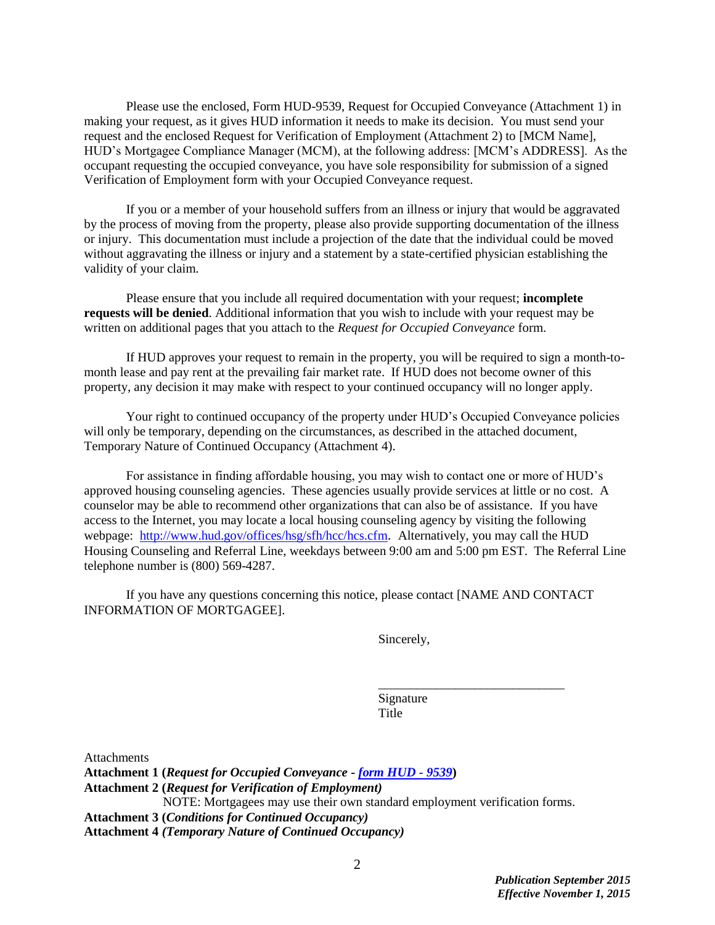Please use the enclosed, Form HUD-9539, Request for Occupied Conveyance (Attachment 1) in making your request, as it gives HUD information it needs to make its decision. You must send your request and the enclosed Request for Verification of Employment (Attachment 2) to [MCM Name], HUD's Mortgagee Compliance Manager (MCM), at the following address: [MCM's ADDRESS]. As the occupant requesting the occupied conveyance, you have sole responsibility for submission of a signed Verification of Employment form with your Occupied Conveyance request.

If you or a member of your household suffers from an illness or injury that would be aggravated by the process of moving from the property, please also provide supporting documentation of the illness or injury. This documentation must include a projection of the date that the individual could be moved without aggravating the illness or injury and a statement by a state-certified physician establishing the validity of your claim.

Please ensure that you include all required documentation with your request; **incomplete requests will be denied**. Additional information that you wish to include with your request may be written on additional pages that you attach to the *Request for Occupied Conveyance* form.

If HUD approves your request to remain in the property, you will be required to sign a month-tomonth lease and pay rent at the prevailing fair market rate. If HUD does not become owner of this property, any decision it may make with respect to your continued occupancy will no longer apply.

Your right to continued occupancy of the property under HUD's Occupied Conveyance policies will only be temporary, depending on the circumstances, as described in the attached document, Temporary Nature of Continued Occupancy (Attachment 4).

For assistance in finding affordable housing, you may wish to contact one or more of HUD's approved housing counseling agencies. These agencies usually provide services at little or no cost. A counselor may be able to recommend other organizations that can also be of assistance. If you have access to the Internet, you may locate a local housing counseling agency by visiting the following webpage: <http://www.hud.gov/offices/hsg/sfh/hcc/hcs.cfm>. Alternatively, you may call the HUD Housing Counseling and Referral Line, weekdays between 9:00 am and 5:00 pm EST. The Referral Line telephone number is (800) 569-4287.

If you have any questions concerning this notice, please contact [NAME AND CONTACT INFORMATION OF MORTGAGEE].

Sincerely,

Signature **Title** 

\_\_\_\_\_\_\_\_\_\_\_\_\_\_\_\_\_\_\_\_\_\_\_\_\_\_\_\_\_

Attachments

**Attachment 1 (***Request for Occupied Conveyance* **-** *[form HUD -](http://portal.hud.gov/hudportal/documents/huddoc?id=9539.pdf) 9539***) Attachment 2 (***Request for Verification of Employment)*  NOTE: Mortgagees may use their own standard employment verification forms. **Attachment 3 (***Conditions for Continued Occupancy)* **Attachment 4** *(Temporary Nature of Continued Occupancy)*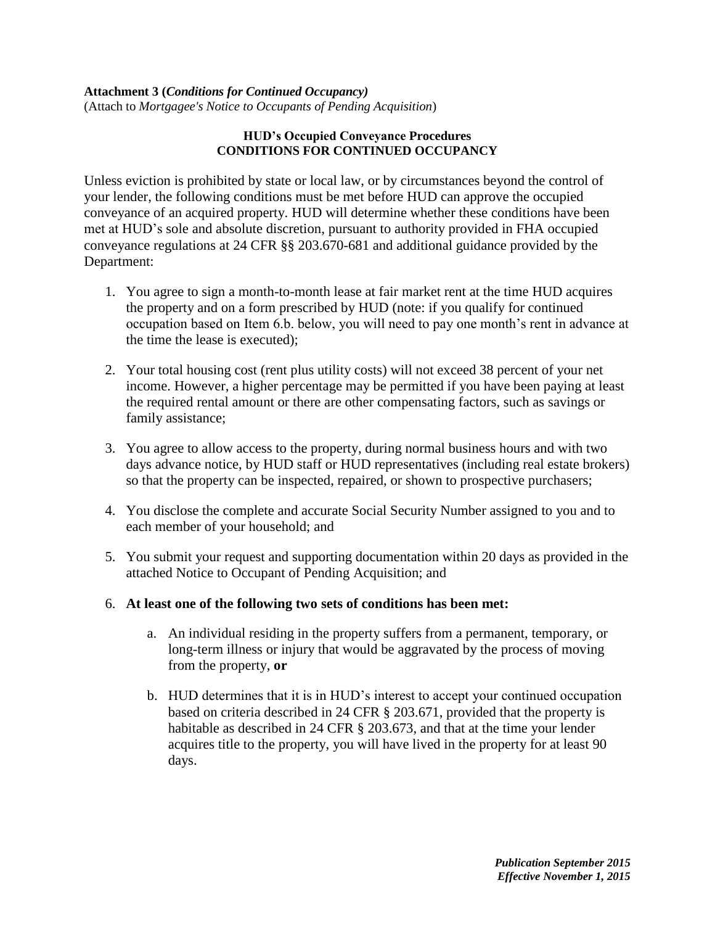# **Attachment 3 (***Conditions for Continued Occupancy)*

(Attach to *Mortgagee's Notice to Occupants of Pending Acquisition*)

### **HUD's Occupied Conveyance Procedures CONDITIONS FOR CONTINUED OCCUPANCY**

Unless eviction is prohibited by state or local law, or by circumstances beyond the control of your lender, the following conditions must be met before HUD can approve the occupied conveyance of an acquired property. HUD will determine whether these conditions have been met at HUD's sole and absolute discretion, pursuant to authority provided in FHA occupied conveyance regulations at 24 CFR §§ 203.670-681 and additional guidance provided by the Department:

- 1. You agree to sign a month-to-month lease at fair market rent at the time HUD acquires the property and on a form prescribed by HUD (note: if you qualify for continued occupation based on Item 6.b. below, you will need to pay one month's rent in advance at the time the lease is executed);
- 2. Your total housing cost (rent plus utility costs) will not exceed 38 percent of your net income. However, a higher percentage may be permitted if you have been paying at least the required rental amount or there are other compensating factors, such as savings or family assistance;
- 3. You agree to allow access to the property, during normal business hours and with two days advance notice, by HUD staff or HUD representatives (including real estate brokers) so that the property can be inspected, repaired, or shown to prospective purchasers;
- 4. You disclose the complete and accurate Social Security Number assigned to you and to each member of your household; and
- 5. You submit your request and supporting documentation within 20 days as provided in the attached Notice to Occupant of Pending Acquisition; and
- 6. **At least one of the following two sets of conditions has been met:**
	- a. An individual residing in the property suffers from a permanent, temporary, or long-term illness or injury that would be aggravated by the process of moving from the property, **or**
	- b. HUD determines that it is in HUD's interest to accept your continued occupation based on criteria described in 24 CFR § 203.671, provided that the property is habitable as described in 24 CFR § 203.673, and that at the time your lender acquires title to the property, you will have lived in the property for at least 90 days.